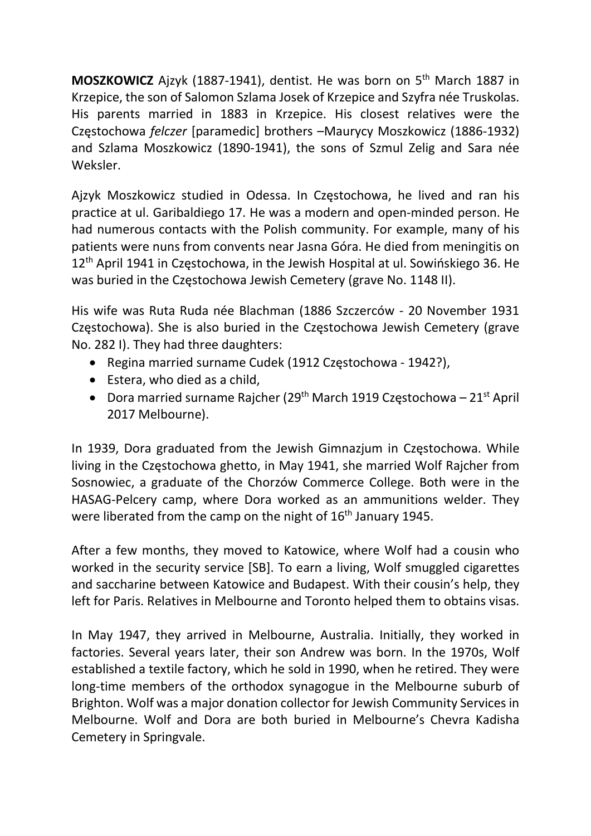MOSZKOWICZ Ajzyk (1887-1941), dentist. He was born on 5<sup>th</sup> March 1887 in Krzepice, the son of Salomon Szlama Josek of Krzepice and Szyfra née Truskolas. His parents married in 1883 in Krzepice. His closest relatives were the Częstochowa felczer [paramedic] brothers –Maurycy Moszkowicz (1886-1932) and Szlama Moszkowicz (1890-1941), the sons of Szmul Zelig and Sara née Weksler.

Ajzyk Moszkowicz studied in Odessa. In Częstochowa, he lived and ran his practice at ul. Garibaldiego 17. He was a modern and open-minded person. He had numerous contacts with the Polish community. For example, many of his patients were nuns from convents near Jasna Góra. He died from meningitis on 12<sup>th</sup> April 1941 in Częstochowa, in the Jewish Hospital at ul. Sowińskiego 36. He was buried in the Częstochowa Jewish Cemetery (grave No. 1148 II).

His wife was Ruta Ruda née Blachman (1886 Szczerców - 20 November 1931 Częstochowa). She is also buried in the Częstochowa Jewish Cemetery (grave No. 282 I). They had three daughters:

- Regina married surname Cudek (1912 Częstochowa 1942?),
- Estera, who died as a child.
- Dora married surname Rajcher (29<sup>th</sup> March 1919 Częstochowa 21<sup>st</sup> April 2017 Melbourne).

In 1939, Dora graduated from the Jewish Gimnazjum in Częstochowa. While living in the Częstochowa ghetto, in May 1941, she married Wolf Rajcher from Sosnowiec, a graduate of the Chorzów Commerce College. Both were in the HASAG-Pelcery camp, where Dora worked as an ammunitions welder. They were liberated from the camp on the night of 16<sup>th</sup> January 1945.

After a few months, they moved to Katowice, where Wolf had a cousin who worked in the security service [SB]. To earn a living, Wolf smuggled cigarettes and saccharine between Katowice and Budapest. With their cousin's help, they left for Paris. Relatives in Melbourne and Toronto helped them to obtains visas.

In May 1947, they arrived in Melbourne, Australia. Initially, they worked in factories. Several years later, their son Andrew was born. In the 1970s, Wolf established a textile factory, which he sold in 1990, when he retired. They were long-time members of the orthodox synagogue in the Melbourne suburb of Brighton. Wolf was a major donation collector for Jewish Community Services in Melbourne. Wolf and Dora are both buried in Melbourne's Chevra Kadisha Cemetery in Springvale.